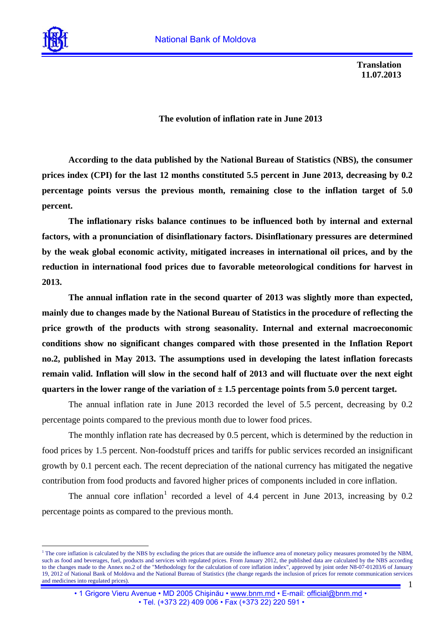

 $\overline{a}$ 

**Translation 11.07.2013** 

## **The evolution of inflation rate in June 2013**

**According to the data published by the National Bureau of Statistics (NBS), the consumer prices index (CPI) for the last 12 months constituted 5.5 percent in June 2013, decreasing by 0.2 percentage points versus the previous month, remaining close to the inflation target of 5.0 percent.** 

**The inflationary risks balance continues to be influenced both by internal and external factors, with a pronunciation of disinflationary factors. Disinflationary pressures are determined by the weak global economic activity, mitigated increases in international oil prices, and by the reduction in international food prices due to favorable meteorological conditions for harvest in 2013.** 

**The annual inflation rate in the second quarter of 2013 was slightly more than expected, mainly due to changes made by the National Bureau of Statistics in the procedure of reflecting the price growth of the products with strong seasonality. Internal and external macroeconomic conditions show no significant changes compared with those presented in the Inflation Report no.2, published in May 2013. The assumptions used in developing the latest inflation forecasts remain valid. Inflation will slow in the second half of 2013 and will fluctuate over the next eight**  quarters in the lower range of the variation of  $\pm$  1.5 percentage points from 5.0 percent target.

The annual inflation rate in June 2013 recorded the level of 5.5 percent, decreasing by 0.2 percentage points compared to the previous month due to lower food prices.

The monthly inflation rate has decreased by 0.5 percent, which is determined by the reduction in food prices by 1.5 percent. Non-foodstuff prices and tariffs for public services recorded an insignificant growth by 0.1 percent each. The recent depreciation of the national currency has mitigated the negative contribution from food products and favored higher prices of components included in core inflation.

The annual core inflation<sup>[1](#page-0-0)</sup> recorded a level of 4.4 percent in June 2013, increasing by 0.2 percentage points as compared to the previous month.

<span id="page-0-0"></span><sup>1</sup> <sup>1</sup> The core inflation is calculated by the NBS by excluding the prices that are outside the influence area of monetary policy measures promoted by the NBM, such as food and beverages, fuel, products and services with regulated prices. From January 2012, the published data are calculated by the NBS according to the changes made to the Annex no.2 of the "Methodology for the calculation of core inflation index", approved by joint order N8-07-01203/6 of January 19, 2012 of National Bank of Moldova and the National Bureau of Statistics (the change regards the inclusion of prices for remote communication services and medicines into regulated prices).